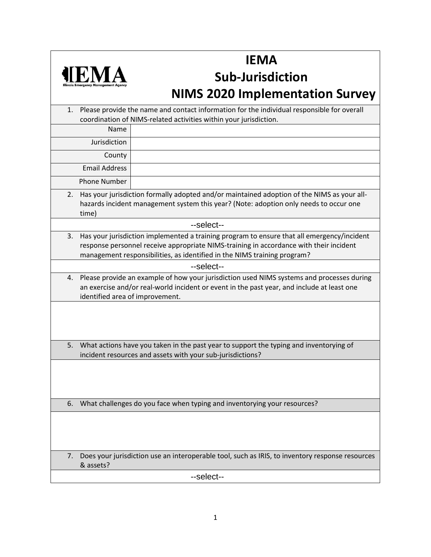

## **IEMA**

## **Sub-Jurisdiction NIMS 2020 Implementation Survey**

| 1.         | Please provide the name and contact information for the individual responsible for overall<br>coordination of NIMS-related activities within your jurisdiction.                                                                                                  |                                                                                                 |  |  |  |
|------------|------------------------------------------------------------------------------------------------------------------------------------------------------------------------------------------------------------------------------------------------------------------|-------------------------------------------------------------------------------------------------|--|--|--|
|            | Name                                                                                                                                                                                                                                                             |                                                                                                 |  |  |  |
|            | Jurisdiction                                                                                                                                                                                                                                                     |                                                                                                 |  |  |  |
|            | County                                                                                                                                                                                                                                                           |                                                                                                 |  |  |  |
|            | <b>Email Address</b>                                                                                                                                                                                                                                             |                                                                                                 |  |  |  |
|            | <b>Phone Number</b>                                                                                                                                                                                                                                              |                                                                                                 |  |  |  |
| 2.         | Has your jurisdiction formally adopted and/or maintained adoption of the NIMS as your all-<br>hazards incident management system this year? (Note: adoption only needs to occur one<br>time)                                                                     |                                                                                                 |  |  |  |
| --select-- |                                                                                                                                                                                                                                                                  |                                                                                                 |  |  |  |
| 3.         | Has your jurisdiction implemented a training program to ensure that all emergency/incident<br>response personnel receive appropriate NIMS-training in accordance with their incident<br>management responsibilities, as identified in the NIMS training program? |                                                                                                 |  |  |  |
| --select-- |                                                                                                                                                                                                                                                                  |                                                                                                 |  |  |  |
| 4.         | Please provide an example of how your jurisdiction used NIMS systems and processes during<br>an exercise and/or real-world incident or event in the past year, and include at least one<br>identified area of improvement.                                       |                                                                                                 |  |  |  |
|            |                                                                                                                                                                                                                                                                  |                                                                                                 |  |  |  |
| 5.         | What actions have you taken in the past year to support the typing and inventorying of<br>incident resources and assets with your sub-jurisdictions?                                                                                                             |                                                                                                 |  |  |  |
|            |                                                                                                                                                                                                                                                                  |                                                                                                 |  |  |  |
| 6.         |                                                                                                                                                                                                                                                                  | What challenges do you face when typing and inventorying your resources?                        |  |  |  |
|            |                                                                                                                                                                                                                                                                  |                                                                                                 |  |  |  |
| 7.         | & assets?                                                                                                                                                                                                                                                        | Does your jurisdiction use an interoperable tool, such as IRIS, to inventory response resources |  |  |  |
|            | --select--                                                                                                                                                                                                                                                       |                                                                                                 |  |  |  |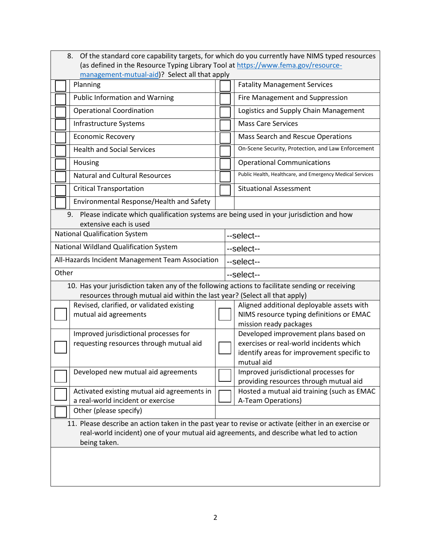| 8. Of the standard core capability targets, for which do you currently have NIMS typed resources<br>(as defined in the Resource Typing Library Tool at https://www.fema.gov/resource-                           |                                                                                                                 |  |  |  |  |
|-----------------------------------------------------------------------------------------------------------------------------------------------------------------------------------------------------------------|-----------------------------------------------------------------------------------------------------------------|--|--|--|--|
| management-mutual-aid)? Select all that apply                                                                                                                                                                   |                                                                                                                 |  |  |  |  |
| Planning                                                                                                                                                                                                        | <b>Fatality Management Services</b>                                                                             |  |  |  |  |
| <b>Public Information and Warning</b>                                                                                                                                                                           | Fire Management and Suppression                                                                                 |  |  |  |  |
| <b>Operational Coordination</b>                                                                                                                                                                                 | Logistics and Supply Chain Management                                                                           |  |  |  |  |
| Infrastructure Systems                                                                                                                                                                                          | <b>Mass Care Services</b>                                                                                       |  |  |  |  |
| <b>Economic Recovery</b>                                                                                                                                                                                        | Mass Search and Rescue Operations                                                                               |  |  |  |  |
| <b>Health and Social Services</b>                                                                                                                                                                               | On-Scene Security, Protection, and Law Enforcement                                                              |  |  |  |  |
| Housing                                                                                                                                                                                                         | <b>Operational Communications</b>                                                                               |  |  |  |  |
| <b>Natural and Cultural Resources</b>                                                                                                                                                                           | Public Health, Healthcare, and Emergency Medical Services                                                       |  |  |  |  |
| <b>Critical Transportation</b>                                                                                                                                                                                  | <b>Situational Assessment</b>                                                                                   |  |  |  |  |
| Environmental Response/Health and Safety                                                                                                                                                                        |                                                                                                                 |  |  |  |  |
| Please indicate which qualification systems are being used in your jurisdiction and how<br>9.<br>extensive each is used                                                                                         |                                                                                                                 |  |  |  |  |
| <b>National Qualification System</b>                                                                                                                                                                            | --select--                                                                                                      |  |  |  |  |
| National Wildland Qualification System                                                                                                                                                                          | --select--                                                                                                      |  |  |  |  |
| All-Hazards Incident Management Team Association                                                                                                                                                                | --select--                                                                                                      |  |  |  |  |
| Other                                                                                                                                                                                                           | --select--                                                                                                      |  |  |  |  |
| 10. Has your jurisdiction taken any of the following actions to facilitate sending or receiving<br>resources through mutual aid within the last year? (Select all that apply)                                   |                                                                                                                 |  |  |  |  |
| Revised, clarified, or validated existing<br>mutual aid agreements                                                                                                                                              | Aligned additional deployable assets with<br>NIMS resource typing definitions or EMAC<br>mission ready packages |  |  |  |  |
| Improved jurisdictional processes for                                                                                                                                                                           | Developed improvement plans based on                                                                            |  |  |  |  |
| requesting resources through mutual aid                                                                                                                                                                         | exercises or real-world incidents which<br>identify areas for improvement specific to<br>mutual aid             |  |  |  |  |
| Developed new mutual aid agreements                                                                                                                                                                             | Improved jurisdictional processes for<br>providing resources through mutual aid                                 |  |  |  |  |
| Activated existing mutual aid agreements in<br>a real-world incident or exercise                                                                                                                                | Hosted a mutual aid training (such as EMAC                                                                      |  |  |  |  |
|                                                                                                                                                                                                                 | A-Team Operations)                                                                                              |  |  |  |  |
| Other (please specify)                                                                                                                                                                                          |                                                                                                                 |  |  |  |  |
| 11. Please describe an action taken in the past year to revise or activate (either in an exercise or<br>real-world incident) one of your mutual aid agreements, and describe what led to action<br>being taken. |                                                                                                                 |  |  |  |  |
|                                                                                                                                                                                                                 |                                                                                                                 |  |  |  |  |